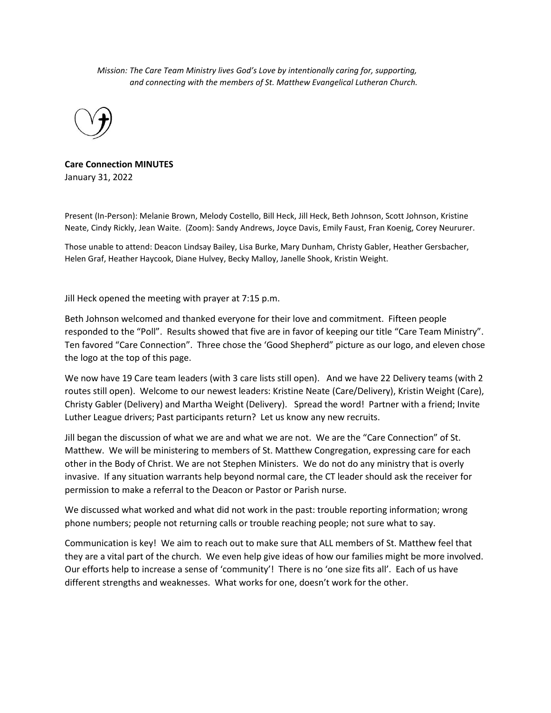*Mission: The Care Team Ministry lives God's Love by intentionally caring for, supporting, and connecting with the members of St. Matthew Evangelical Lutheran Church.*



**Care Connection MINUTES** January 31, 2022

Present (In-Person): Melanie Brown, Melody Costello, Bill Heck, Jill Heck, Beth Johnson, Scott Johnson, Kristine Neate, Cindy Rickly, Jean Waite. (Zoom): Sandy Andrews, Joyce Davis, Emily Faust, Fran Koenig, Corey Neururer.

Those unable to attend: Deacon Lindsay Bailey, Lisa Burke, Mary Dunham, Christy Gabler, Heather Gersbacher, Helen Graf, Heather Haycook, Diane Hulvey, Becky Malloy, Janelle Shook, Kristin Weight.

Jill Heck opened the meeting with prayer at 7:15 p.m.

Beth Johnson welcomed and thanked everyone for their love and commitment. Fifteen people responded to the "Poll". Results showed that five are in favor of keeping our title "Care Team Ministry". Ten favored "Care Connection". Three chose the 'Good Shepherd" picture as our logo, and eleven chose the logo at the top of this page.

We now have 19 Care team leaders (with 3 care lists still open). And we have 22 Delivery teams (with 2 routes still open). Welcome to our newest leaders: Kristine Neate (Care/Delivery), Kristin Weight (Care), Christy Gabler (Delivery) and Martha Weight (Delivery). Spread the word! Partner with a friend; Invite Luther League drivers; Past participants return? Let us know any new recruits.

Jill began the discussion of what we are and what we are not. We are the "Care Connection" of St. Matthew. We will be ministering to members of St. Matthew Congregation, expressing care for each other in the Body of Christ. We are not Stephen Ministers. We do not do any ministry that is overly invasive. If any situation warrants help beyond normal care, the CT leader should ask the receiver for permission to make a referral to the Deacon or Pastor or Parish nurse.

We discussed what worked and what did not work in the past: trouble reporting information; wrong phone numbers; people not returning calls or trouble reaching people; not sure what to say.

Communication is key! We aim to reach out to make sure that ALL members of St. Matthew feel that they are a vital part of the church. We even help give ideas of how our families might be more involved. Our efforts help to increase a sense of 'community'! There is no 'one size fits all'. Each of us have different strengths and weaknesses. What works for one, doesn't work for the other.